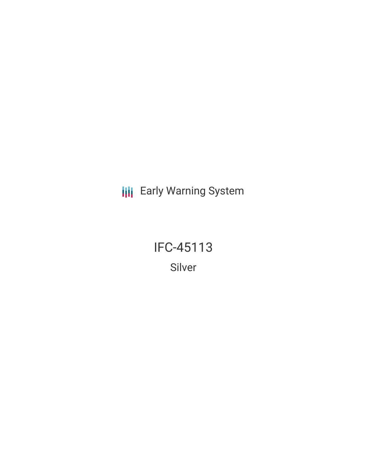**III** Early Warning System

IFC-45113 Silver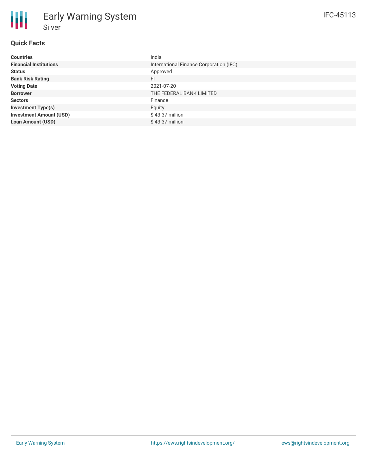# **Quick Facts**

**Silver** 

Early Warning System

| <b>Countries</b>               | India                                   |
|--------------------------------|-----------------------------------------|
| <b>Financial Institutions</b>  | International Finance Corporation (IFC) |
| <b>Status</b>                  | Approved                                |
| <b>Bank Risk Rating</b>        | <b>FI</b>                               |
| <b>Voting Date</b>             | 2021-07-20                              |
| <b>Borrower</b>                | THE FEDERAL BANK LIMITED                |
| <b>Sectors</b>                 | Finance                                 |
| <b>Investment Type(s)</b>      | Equity                                  |
| <b>Investment Amount (USD)</b> | $$43.37$ million                        |
| <b>Loan Amount (USD)</b>       | $$43.37$ million                        |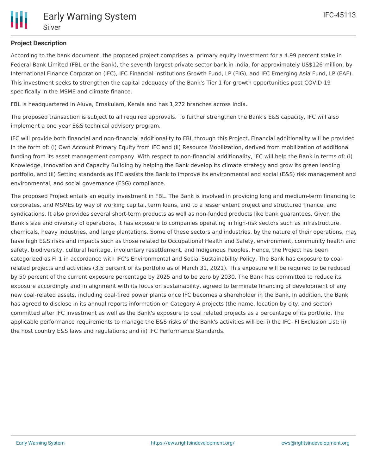## **Project Description**

According to the bank document, the proposed project comprises a primary equity investment for a 4.99 percent stake in Federal Bank Limited (FBL or the Bank), the seventh largest private sector bank in India, for approximately US\$126 million, by International Finance Corporation (IFC), IFC Financial Institutions Growth Fund, LP (FIG), and IFC Emerging Asia Fund, LP (EAF). This investment seeks to strengthen the capital adequacy of the Bank's Tier 1 for growth opportunities post-COVID-19 specifically in the MSME and climate finance.

FBL is headquartered in Aluva, Ernakulam, Kerala and has 1,272 branches across India.

The proposed transaction is subject to all required approvals. To further strengthen the Bank's E&S capacity, IFC will also implement a one-year E&S technical advisory program.

IFC will provide both financial and non-financial additionality to FBL through this Project. Financial additionality will be provided in the form of: (i) Own Account Primary Equity from IFC and (ii) Resource Mobilization, derived from mobilization of additional funding from its asset management company. With respect to non-financial additionality, IFC will help the Bank in terms of: (i) Knowledge, Innovation and Capacity Building by helping the Bank develop its climate strategy and grow its green lending portfolio, and (ii) Setting standards as IFC assists the Bank to improve its environmental and social (E&S) risk management and environmental, and social governance (ESG) compliance.

The proposed Project entails an equity investment in FBL. The Bank is involved in providing long and medium-term financing to corporates, and MSMEs by way of working capital, term loans, and to a lesser extent project and structured finance, and syndications. It also provides several short-term products as well as non-funded products like bank guarantees. Given the Bank's size and diversity of operations, it has exposure to companies operating in high-risk sectors such as infrastructure, chemicals, heavy industries, and large plantations. Some of these sectors and industries, by the nature of their operations, may have high E&S risks and impacts such as those related to Occupational Health and Safety, environment, community health and safety, biodiversity, cultural heritage, involuntary resettlement, and Indigenous Peoples. Hence, the Project has been categorized as FI-1 in accordance with IFC's Environmental and Social Sustainability Policy. The Bank has exposure to coalrelated projects and activities (3.5 percent of its portfolio as of March 31, 2021). This exposure will be required to be reduced by 50 percent of the current exposure percentage by 2025 and to be zero by 2030. The Bank has committed to reduce its exposure accordingly and in alignment with its focus on sustainability, agreed to terminate financing of development of any new coal-related assets, including coal-fired power plants once IFC becomes a shareholder in the Bank. In addition, the Bank has agreed to disclose in its annual reports information on Category A projects (the name, location by city, and sector) committed after IFC investment as well as the Bank's exposure to coal related projects as a percentage of its portfolio. The applicable performance requirements to manage the E&S risks of the Bank's activities will be: i) the IFC- FI Exclusion List; ii) the host country E&S laws and regulations; and iii) IFC Performance Standards.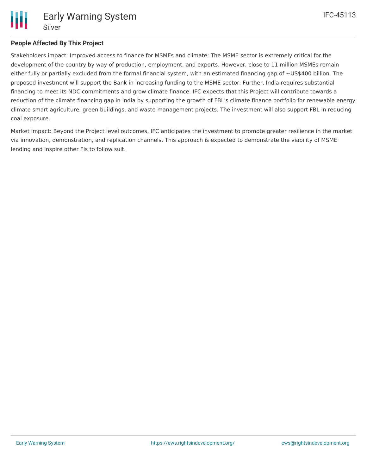

### **People Affected By This Project**

Stakeholders impact: Improved access to finance for MSMEs and climate: The MSME sector is extremely critical for the development of the country by way of production, employment, and exports. However, close to 11 million MSMEs remain either fully or partially excluded from the formal financial system, with an estimated financing gap of ~US\$400 billion. The proposed investment will support the Bank in increasing funding to the MSME sector. Further, India requires substantial financing to meet its NDC commitments and grow climate finance. IFC expects that this Project will contribute towards a reduction of the climate financing gap in India by supporting the growth of FBL's climate finance portfolio for renewable energy, climate smart agriculture, green buildings, and waste management projects. The investment will also support FBL in reducing coal exposure.

Market impact: Beyond the Project level outcomes, IFC anticipates the investment to promote greater resilience in the market via innovation, demonstration, and replication channels. This approach is expected to demonstrate the viability of MSME lending and inspire other FIs to follow suit.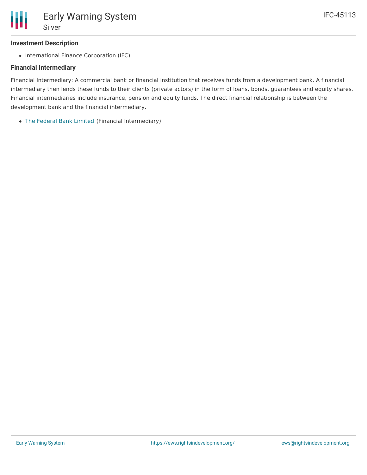#### **Investment Description**

• International Finance Corporation (IFC)

### **Financial Intermediary**

Financial Intermediary: A commercial bank or financial institution that receives funds from a development bank. A financial intermediary then lends these funds to their clients (private actors) in the form of loans, bonds, guarantees and equity shares. Financial intermediaries include insurance, pension and equity funds. The direct financial relationship is between the development bank and the financial intermediary.

The [Federal](file:///actor/1042/) Bank Limited (Financial Intermediary)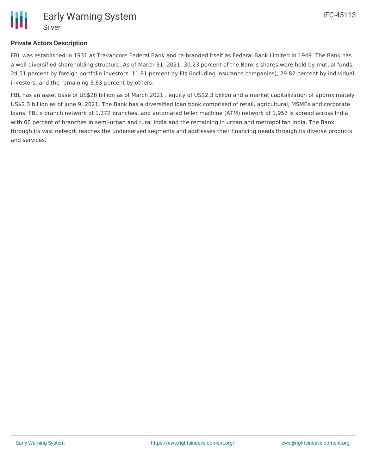

## **Private Actors Description**

FBL was established in 1931 as Travancore Federal Bank and re-branded itself as Federal Bank Limited in 1949. The Bank has a well-diversified shareholding structure. As of March 31, 2021, 30.23 percent of the Bank's shares were held by mutual funds, 24.51 percent by foreign portfolio investors, 11.81 percent by FIs (including insurance companies), 29.82 percent by individual investors, and the remaining 3.63 percent by others.

FBL has an asset base of US\$28 billion as of March 2021 , equity of US\$2.3 billion and a market capitalization of approximately US\$2.3 billion as of June 9, 2021. The Bank has a diversified loan book comprised of retail, agricultural, MSMEs and corporate loans. FBL's branch network of 1,272 branches, and automated teller machine (ATM) network of 1,957 is spread across India with 66 percent of branches in semi-urban and rural India and the remaining in urban and metropolitan India. The Bank through its vast network reaches the underserved segments and addresses their financing needs through its diverse products and services.